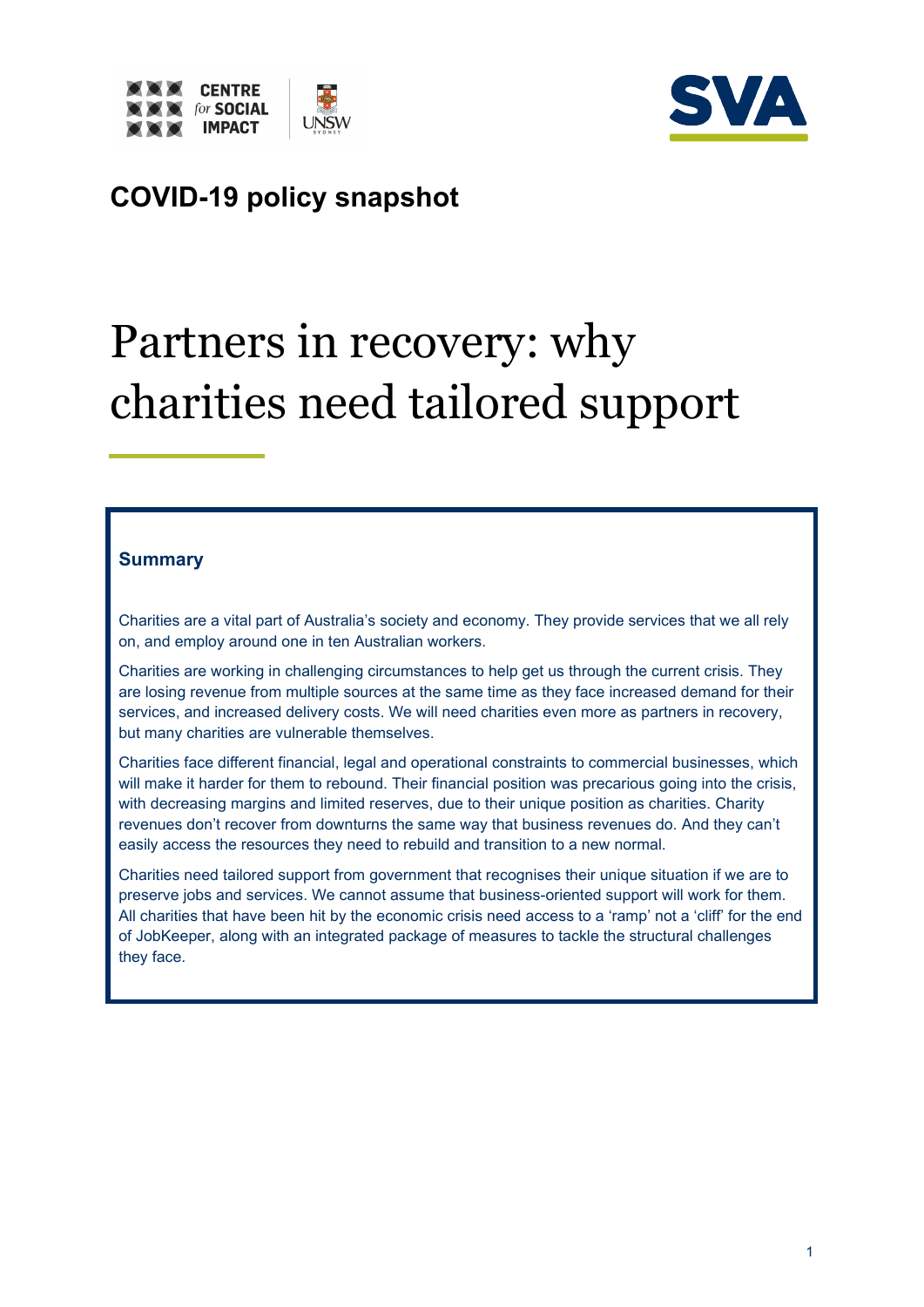



## **COVID-19 policy snapshot**

# Partners in recovery: why charities need tailored support

#### **Summary**

Charities are a vital part of Australia's society and economy. They provide services that we all rely on, and employ around one in ten Australian workers.

Charities are working in challenging circumstances to help get us through the current crisis. They are losing revenue from multiple sources at the same time as they face increased demand for their services, and increased delivery costs. We will need charities even more as partners in recovery, but many charities are vulnerable themselves.

Charities face different financial, legal and operational constraints to commercial businesses, which will make it harder for them to rebound. Their financial position was precarious going into the crisis, with decreasing margins and limited reserves, due to their unique position as charities. Charity revenues don't recover from downturns the same way that business revenues do. And they can't easily access the resources they need to rebuild and transition to a new normal.

Charities need tailored support from government that recognises their unique situation if we are to preserve jobs and services. We cannot assume that business-oriented support will work for them. All charities that have been hit by the economic crisis need access to a 'ramp' not a 'cliff' for the end of JobKeeper, along with an integrated package of measures to tackle the structural challenges they face.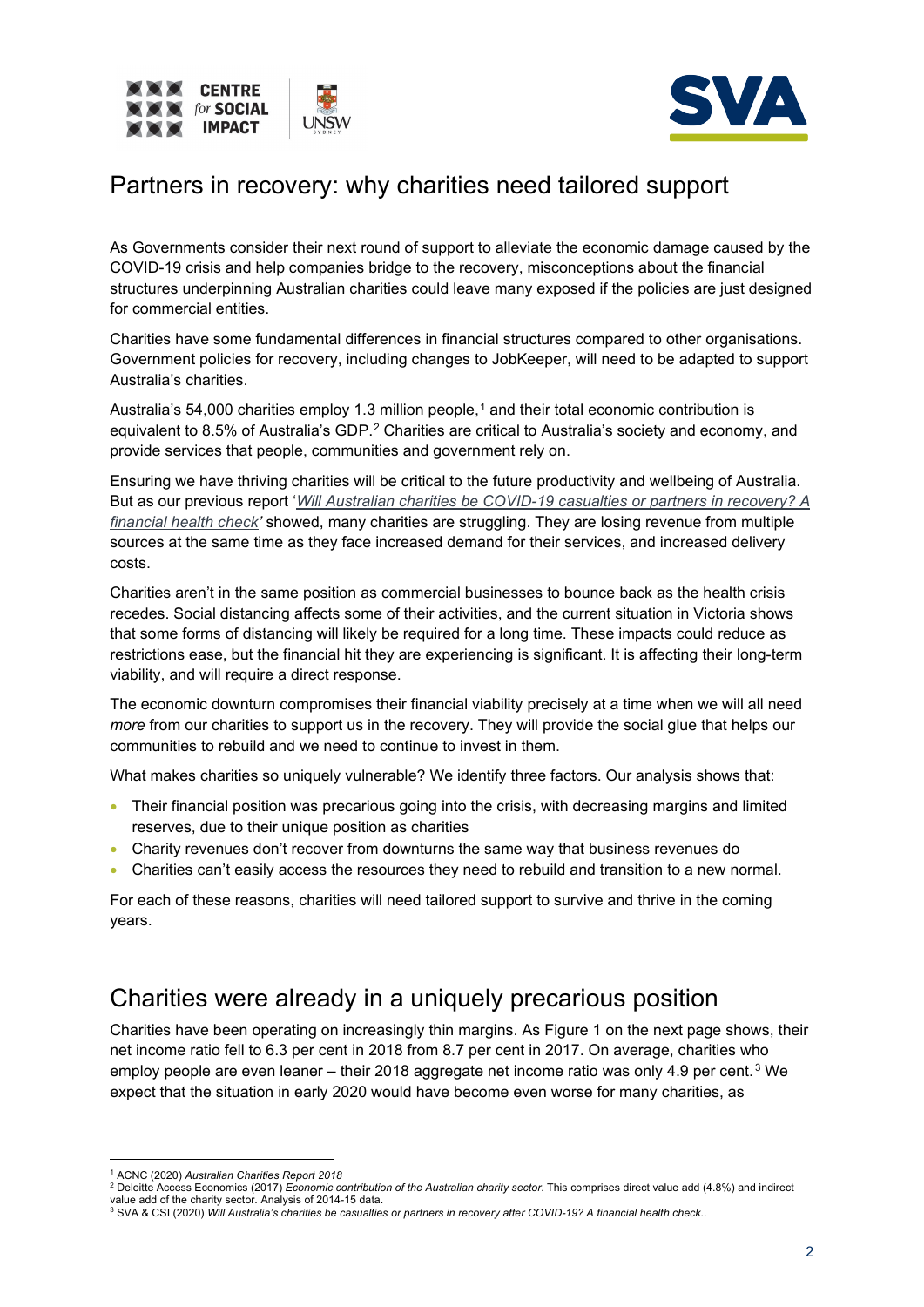



#### Partners in recovery: why charities need tailored support

As Governments consider their next round of support to alleviate the economic damage caused by the COVID-19 crisis and help companies bridge to the recovery, misconceptions about the financial structures underpinning Australian charities could leave many exposed if the policies are just designed for commercial entities.

Charities have some fundamental differences in financial structures compared to other organisations. Government policies for recovery, including changes to JobKeeper, will need to be adapted to support Australia's charities.

Australia's 54,000 charities employ [1](#page-1-0).3 million people,<sup>1</sup> and their total economic contribution is equivalent to 8.5% of Australia's GDP.<sup>[2](#page-1-1)</sup> Charities are critical to Australia's society and economy, and provide services that people, communities and government rely on.

Ensuring we have thriving charities will be critical to the future productivity and wellbeing of Australia. But as our previous report '*[Will Australian charities be COVID-19 casualties or partners in recovery? A](https://www.socialventures.com.au/work/charities-covid-19-financial-health-check/)  [financial health check'](https://www.socialventures.com.au/work/charities-covid-19-financial-health-check/)* showed, many charities are struggling. They are losing revenue from multiple sources at the same time as they face increased demand for their services, and increased delivery costs.

Charities aren't in the same position as commercial businesses to bounce back as the health crisis recedes. Social distancing affects some of their activities, and the current situation in Victoria shows that some forms of distancing will likely be required for a long time. These impacts could reduce as restrictions ease, but the financial hit they are experiencing is significant. It is affecting their long-term viability, and will require a direct response.

The economic downturn compromises their financial viability precisely at a time when we will all need *more* from our charities to support us in the recovery. They will provide the social glue that helps our communities to rebuild and we need to continue to invest in them.

What makes charities so uniquely vulnerable? We identify three factors. Our analysis shows that:

- Their financial position was precarious going into the crisis, with decreasing margins and limited reserves, due to their unique position as charities
- Charity revenues don't recover from downturns the same way that business revenues do
- Charities can't easily access the resources they need to rebuild and transition to a new normal.

For each of these reasons, charities will need tailored support to survive and thrive in the coming years.

## Charities were already in a uniquely precarious position

Charities have been operating on increasingly thin margins. As Figure 1 on the next page shows, their net income ratio fell to 6.3 per cent in 2018 from 8.7 per cent in 2017. On average, charities who employ people are even leaner – their 2018 aggregate net income ratio was only 4.9 per cent. [3](#page-1-2) We expect that the situation in early 2020 would have become even worse for many charities, as

<span id="page-1-0"></span><sup>1</sup> ACNC (2020) *Australian Charities Report 2018*

<sup>2</sup> Deloitte Access Economics (2017) *Economic contribution of the Australian charity sector*. This comprises direct value add (4.8%) and indirect

<span id="page-1-2"></span><span id="page-1-1"></span>value add of the charity sector. Analysis of 2014-15 data.<br><sup>3</sup> SVA & CSI (2020) *Will Australia's charities be casualties or partners in recovery after COVID-19? A financial health check..*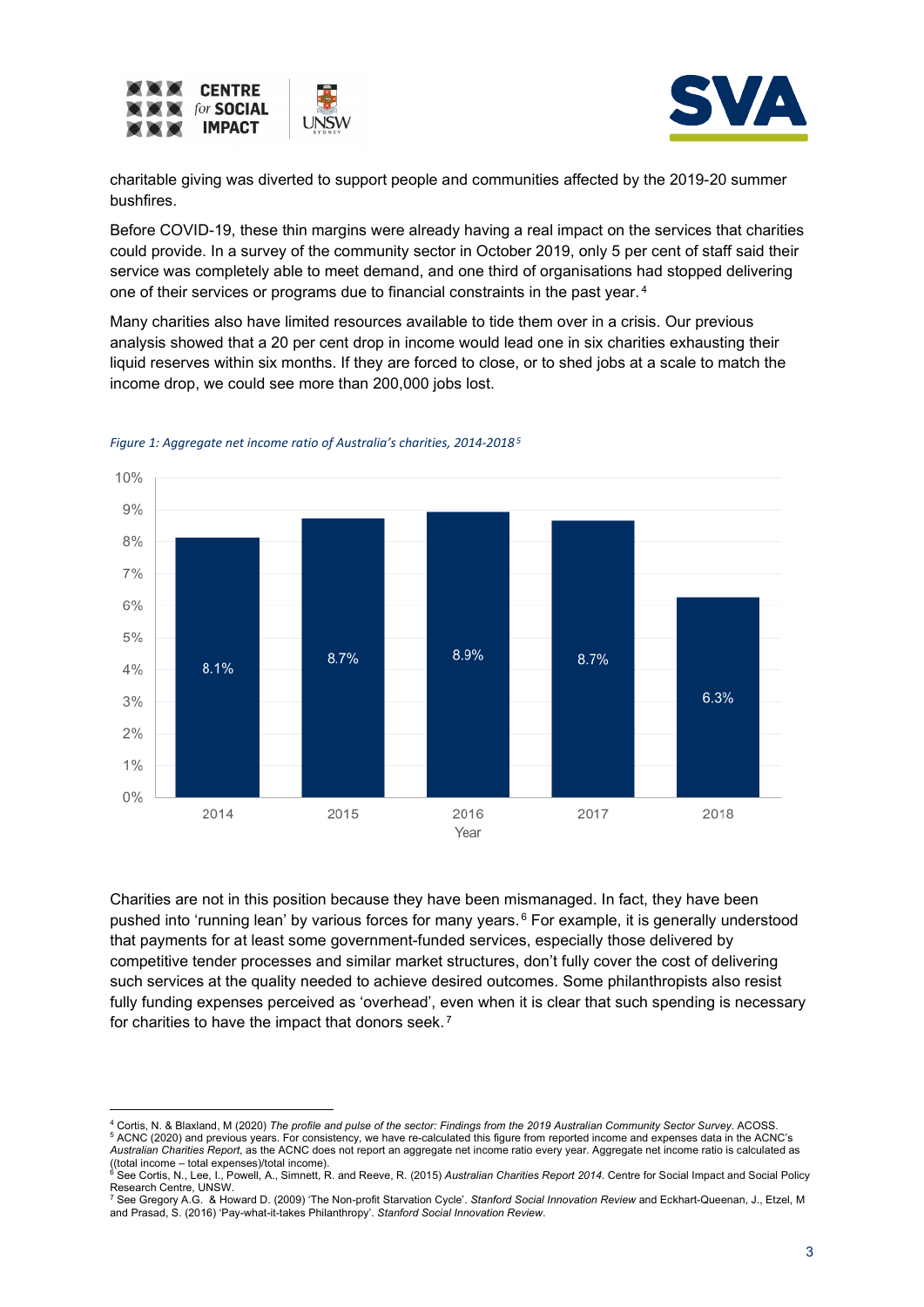



charitable giving was diverted to support people and communities affected by the 2019-20 summer bushfires.

Before COVID-19, these thin margins were already having a real impact on the services that charities could provide. In a survey of the community sector in October 2019, only 5 per cent of staff said their service was completely able to meet demand, and one third of organisations had stopped delivering one of their services or programs due to financial constraints in the past year. [4](#page-2-0)

Many charities also have limited resources available to tide them over in a crisis. Our previous analysis showed that a 20 per cent drop in income would lead one in six charities exhausting their liquid reserves within six months. If they are forced to close, or to shed jobs at a scale to match the income drop, we could see more than 200,000 jobs lost.



*Figure 1: Aggregate net income ratio of Australia's charities, 2014-2018[5](#page-2-1)*

Charities are not in this position because they have been mismanaged. In fact, they have been pushed into 'running lean' by various forces for many years.<sup>[6](#page-2-2)</sup> For example, it is generally understood that payments for at least some government-funded services, especially those delivered by competitive tender processes and similar market structures, don't fully cover the cost of delivering such services at the quality needed to achieve desired outcomes. Some philanthropists also resist fully funding expenses perceived as 'overhead', even when it is clear that such spending is necessary for charities to have the impact that donors seek. [7](#page-2-3)

<span id="page-2-1"></span>*Australian Charities Report*, as the ACNC does not report an aggregate net income ratio every year. Aggregate net income ratio is calculated as ((total income – total expenses)/total income).

<span id="page-2-0"></span><sup>4</sup> Cortis, N. & Blaxland, M (2020) *The profile and pulse of the sector: Findings from the 2019 Australian Community Sector Survey*. ACOSS. <sup>5</sup> ACNC (2020) and previous years. For consistency, we have re-calculated this figure from reported income and expenses data in the ACNC's

<span id="page-2-2"></span><sup>6</sup> See Cortis, N., Lee, I., Powell, A., Simnett, R. and Reeve, R. (2015) *Australian Charities Report 2014*. Centre for Social Impact and Social Policy Research Centre, UNSW.

<span id="page-2-3"></span><sup>7</sup> See Gregory A.G. & Howard D. (2009) 'The Non-profit Starvation Cycle'. *Stanford Social Innovation Review* and Eckhart-Queenan, J., Etzel, M and Prasad, S. (2016) 'Pay-what-it-takes Philanthropy'. *Stanford Social Innovation Review*.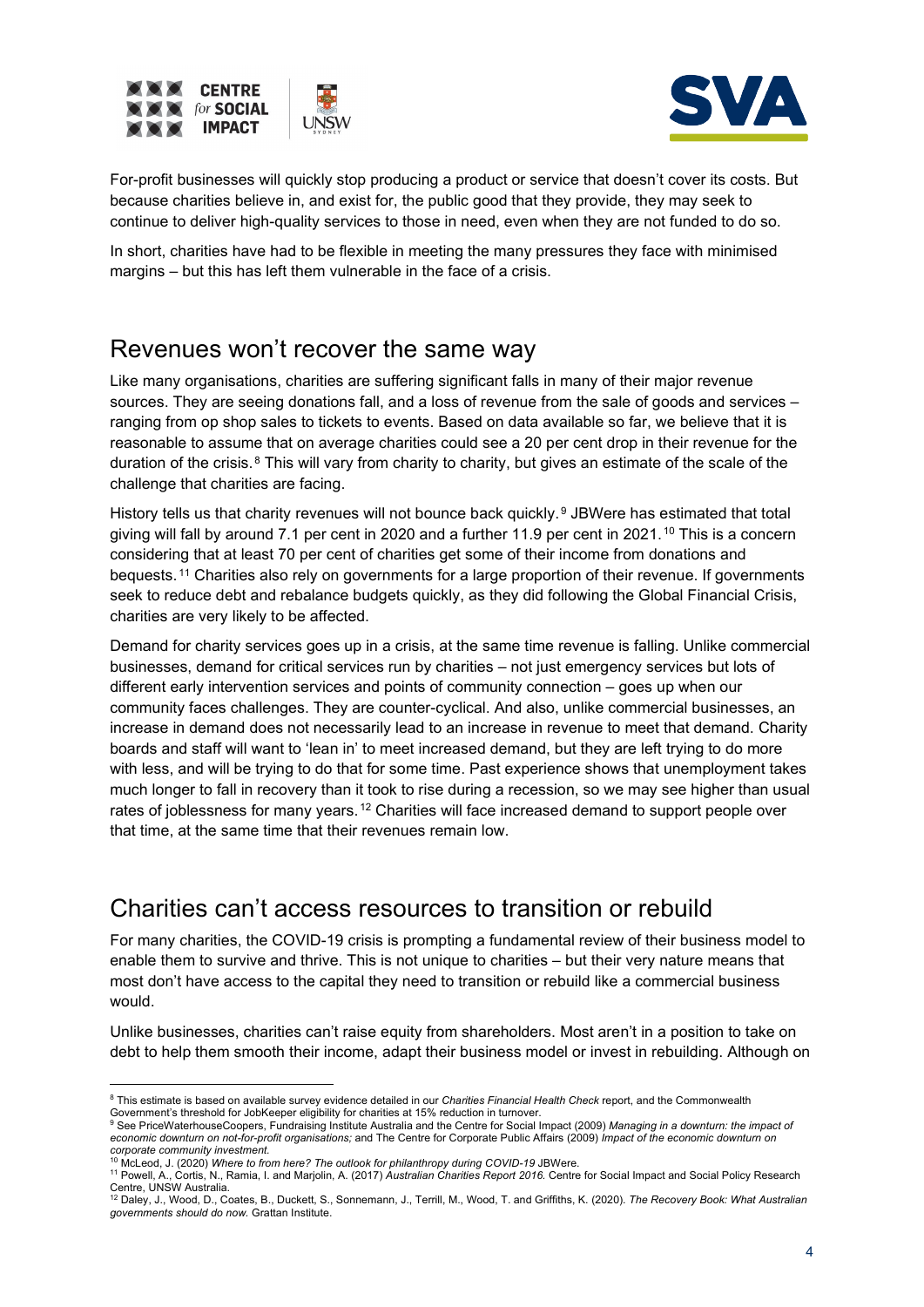



For-profit businesses will quickly stop producing a product or service that doesn't cover its costs. But because charities believe in, and exist for, the public good that they provide, they may seek to continue to deliver high-quality services to those in need, even when they are not funded to do so.

In short, charities have had to be flexible in meeting the many pressures they face with minimised margins – but this has left them vulnerable in the face of a crisis.

#### Revenues won't recover the same way

Like many organisations, charities are suffering significant falls in many of their major revenue sources. They are seeing donations fall, and a loss of revenue from the sale of goods and services – ranging from op shop sales to tickets to events. Based on data available so far, we believe that it is reasonable to assume that on average charities could see a 20 per cent drop in their revenue for the duration of the crisis. [8](#page-3-0) This will vary from charity to charity, but gives an estimate of the scale of the challenge that charities are facing.

History tells us that charity revenues will not bounce back quickly. <sup>[9](#page-3-1)</sup> JBWere has estimated that total giving will fall by around 7.1 per cent in 2020 and a further 11.9 per cent in 2021.<sup>[10](#page-3-2)</sup> This is a concern considering that at least 70 per cent of charities get some of their income from donations and bequests. [11](#page-3-3) Charities also rely on governments for a large proportion of their revenue. If governments seek to reduce debt and rebalance budgets quickly, as they did following the Global Financial Crisis, charities are very likely to be affected.

Demand for charity services goes up in a crisis, at the same time revenue is falling. Unlike commercial businesses, demand for critical services run by charities – not just emergency services but lots of different early intervention services and points of community connection – goes up when our community faces challenges. They are counter-cyclical. And also, unlike commercial businesses, an increase in demand does not necessarily lead to an increase in revenue to meet that demand. Charity boards and staff will want to 'lean in' to meet increased demand, but they are left trying to do more with less, and will be trying to do that for some time. Past experience shows that unemployment takes much longer to fall in recovery than it took to rise during a recession, so we may see higher than usual rates of joblessness for many years. <sup>[12](#page-3-4)</sup> Charities will face increased demand to support people over that time, at the same time that their revenues remain low.

#### Charities can't access resources to transition or rebuild

For many charities, the COVID-19 crisis is prompting a fundamental review of their business model to enable them to survive and thrive. This is not unique to charities – but their very nature means that most don't have access to the capital they need to transition or rebuild like a commercial business would.

Unlike businesses, charities can't raise equity from shareholders. Most aren't in a position to take on debt to help them smooth their income, adapt their business model or invest in rebuilding. Although on

<span id="page-3-0"></span><sup>8</sup> This estimate is based on available survey evidence detailed in our *Charities Financial Health Check* report, and the Commonwealth Government's threshold for JobKeeper eligibility for charities at 15% reduction in turnover.<br><sup>9</sup> See PriceWaterhouseCoopers, Fundraising Institute Australia and the Centre for Social Impact (2009) *Managing in a downturn:* 

<span id="page-3-1"></span>*economic downturn on not-for-profit organisations;* and The Centre for Corporate Public Affairs (2009) *Impact of the economic downturn on* 

<span id="page-3-2"></span>*corporate community investment.* <sup>10</sup> McLeod, J. (2020) *Where to from here? The outlook for philanthropy during COVID-19* JBWere.

<span id="page-3-3"></span><sup>11</sup> Powell, A., Cortis, N., Ramia, I. and Marjolin, A. (2017) *Australian Charities Report 2016.* Centre for Social Impact and Social Policy Research Centre, UNSW Australia. <sup>12</sup> Daley, J., Wood, D., Coates, B., Duckett, S., Sonnemann, J., Terrill, M., Wood, T. and Griffiths, K. (2020). *The Recovery Book: What Australian* 

<span id="page-3-4"></span>*governments should do now.* Grattan Institute.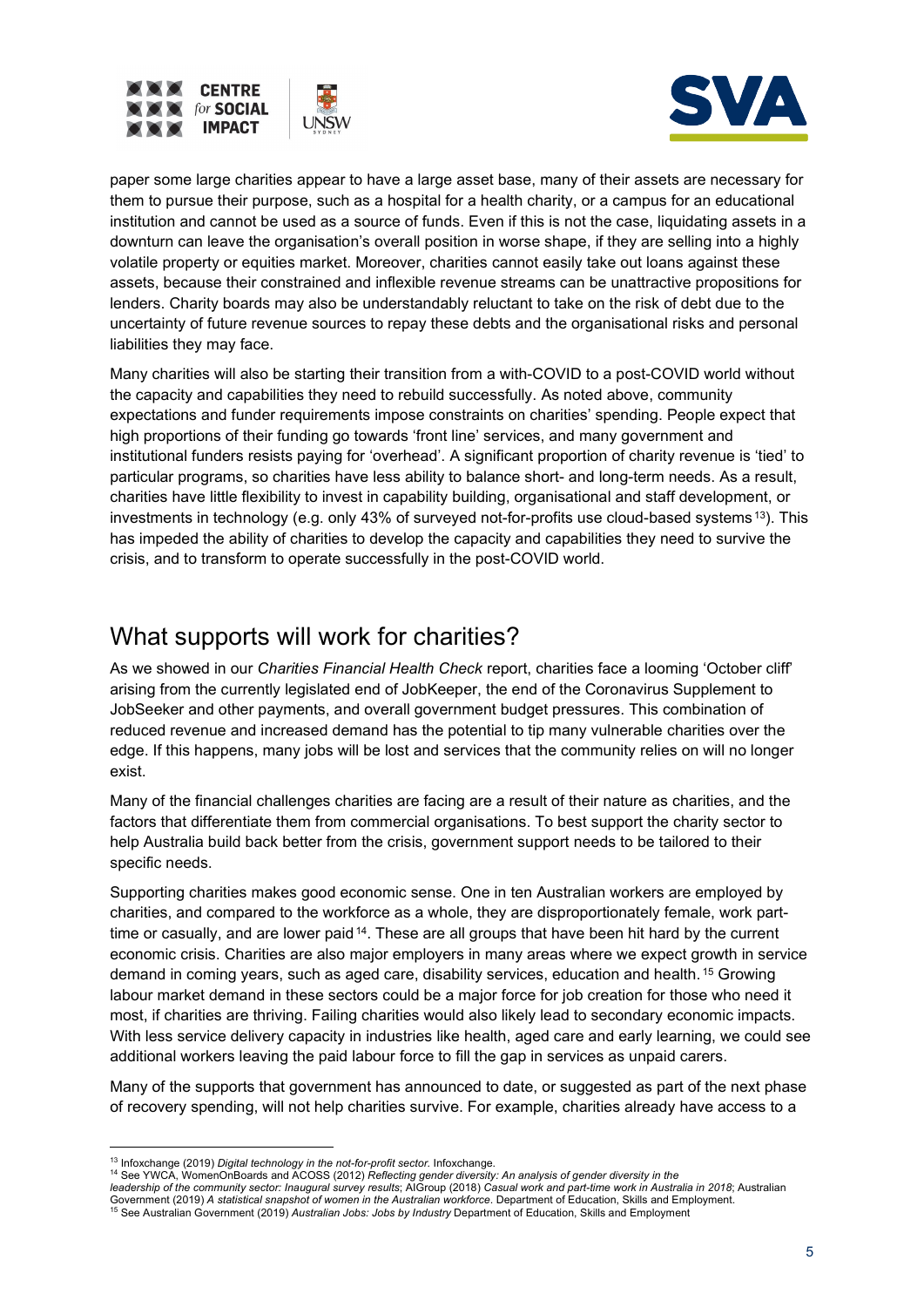



paper some large charities appear to have a large asset base, many of their assets are necessary for them to pursue their purpose, such as a hospital for a health charity, or a campus for an educational institution and cannot be used as a source of funds. Even if this is not the case, liquidating assets in a downturn can leave the organisation's overall position in worse shape, if they are selling into a highly volatile property or equities market. Moreover, charities cannot easily take out loans against these assets, because their constrained and inflexible revenue streams can be unattractive propositions for lenders. Charity boards may also be understandably reluctant to take on the risk of debt due to the uncertainty of future revenue sources to repay these debts and the organisational risks and personal liabilities they may face.

Many charities will also be starting their transition from a with-COVID to a post-COVID world without the capacity and capabilities they need to rebuild successfully. As noted above, community expectations and funder requirements impose constraints on charities' spending. People expect that high proportions of their funding go towards 'front line' services, and many government and institutional funders resists paying for 'overhead'. A significant proportion of charity revenue is 'tied' to particular programs, so charities have less ability to balance short- and long-term needs. As a result, charities have little flexibility to invest in capability building, organisational and staff development, or investments in technology (e.g. only 43% of surveyed not-for-profits use cloud-based systems [13](#page-4-0)). This has impeded the ability of charities to develop the capacity and capabilities they need to survive the crisis, and to transform to operate successfully in the post-COVID world.

#### What supports will work for charities?

As we showed in our *Charities Financial Health Check* report, charities face a looming 'October cliff' arising from the currently legislated end of JobKeeper, the end of the Coronavirus Supplement to JobSeeker and other payments, and overall government budget pressures. This combination of reduced revenue and increased demand has the potential to tip many vulnerable charities over the edge. If this happens, many jobs will be lost and services that the community relies on will no longer exist.

Many of the financial challenges charities are facing are a result of their nature as charities, and the factors that differentiate them from commercial organisations. To best support the charity sector to help Australia build back better from the crisis, government support needs to be tailored to their specific needs.

Supporting charities makes good economic sense. One in ten Australian workers are employed by charities, and compared to the workforce as a whole, they are disproportionately female, work parttime or casually, and are lower paid <sup>14</sup>. These are all groups that have been hit hard by the current economic crisis. Charities are also major employers in many areas where we expect growth in service demand in coming years, such as aged care, disability services, education and health. [15](#page-4-2) Growing labour market demand in these sectors could be a major force for job creation for those who need it most, if charities are thriving. Failing charities would also likely lead to secondary economic impacts. With less service delivery capacity in industries like health, aged care and early learning, we could see additional workers leaving the paid labour force to fill the gap in services as unpaid carers.

Many of the supports that government has announced to date, or suggested as part of the next phase of recovery spending, will not help charities survive. For example, charities already have access to a

<sup>13</sup> Infoxchange (2019) *Digital technology in the not-for-profit sector.* Infoxchange.

<span id="page-4-1"></span><span id="page-4-0"></span><sup>14</sup> See YWCA, WomenOnBoards and ACOSS (2012) *Reflecting gender diversity: An analysis of gender diversity in the*

<span id="page-4-2"></span>*leadership of the community sector: Inaugural survey results*; AIGroup (2018) *Casual work and part-time work in Australia in 2018*; Australian Government (2019) *A statistical snapshot of women in the Australian workforce.* Department of Education, Skills and Employment.<br><sup>15</sup> See Australian Government (2019) *Australian Jobs: Jobs by Industry* Department of Educa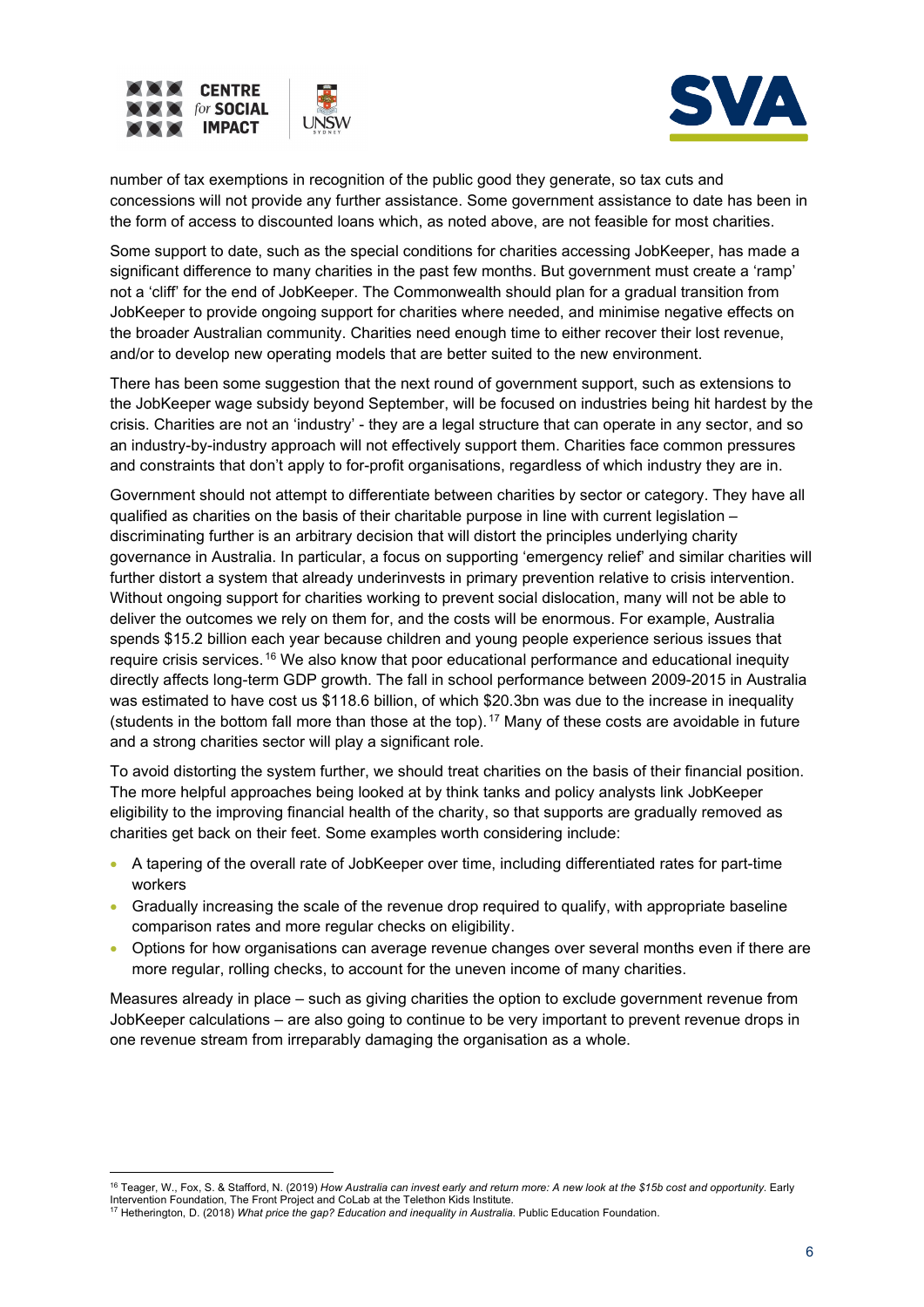



number of tax exemptions in recognition of the public good they generate, so tax cuts and concessions will not provide any further assistance. Some government assistance to date has been in the form of access to discounted loans which, as noted above, are not feasible for most charities.

Some support to date, such as the special conditions for charities accessing JobKeeper, has made a significant difference to many charities in the past few months. But government must create a 'ramp' not a 'cliff' for the end of JobKeeper. The Commonwealth should plan for a gradual transition from JobKeeper to provide ongoing support for charities where needed, and minimise negative effects on the broader Australian community. Charities need enough time to either recover their lost revenue, and/or to develop new operating models that are better suited to the new environment.

There has been some suggestion that the next round of government support, such as extensions to the JobKeeper wage subsidy beyond September, will be focused on industries being hit hardest by the crisis. Charities are not an 'industry' - they are a legal structure that can operate in any sector, and so an industry-by-industry approach will not effectively support them. Charities face common pressures and constraints that don't apply to for-profit organisations, regardless of which industry they are in.

Government should not attempt to differentiate between charities by sector or category. They have all qualified as charities on the basis of their charitable purpose in line with current legislation – discriminating further is an arbitrary decision that will distort the principles underlying charity governance in Australia. In particular, a focus on supporting 'emergency relief' and similar charities will further distort a system that already underinvests in primary prevention relative to crisis intervention. Without ongoing support for charities working to prevent social dislocation, many will not be able to deliver the outcomes we rely on them for, and the costs will be enormous. For example, Australia spends \$15.2 billion each year because children and young people experience serious issues that require crisis services. [16](#page-5-0) We also know that poor educational performance and educational inequity directly affects long-term GDP growth. The fall in school performance between 2009-2015 in Australia was estimated to have cost us \$118.6 billion, of which \$20.3bn was due to the increase in inequality (students in the bottom fall more than those at the top). [17](#page-5-1) Many of these costs are avoidable in future and a strong charities sector will play a significant role.

To avoid distorting the system further, we should treat charities on the basis of their financial position. The more helpful approaches being looked at by think tanks and policy analysts link JobKeeper eligibility to the improving financial health of the charity, so that supports are gradually removed as charities get back on their feet. Some examples worth considering include:

- A tapering of the overall rate of JobKeeper over time, including differentiated rates for part-time workers
- Gradually increasing the scale of the revenue drop required to qualify, with appropriate baseline comparison rates and more regular checks on eligibility.
- Options for how organisations can average revenue changes over several months even if there are more regular, rolling checks, to account for the uneven income of many charities.

Measures already in place – such as giving charities the option to exclude government revenue from JobKeeper calculations – are also going to continue to be very important to prevent revenue drops in one revenue stream from irreparably damaging the organisation as a whole.

<sup>16</sup> Teager, W., Fox, S. & Stafford, N. (2019) *How Australia can invest early and return more: A new look at the \$15b cost and opportunity*. Early

<span id="page-5-1"></span><span id="page-5-0"></span>Intervention Foundation, The Front Project and CoLab at the Telethon Kids Institute.<br><sup>17</sup> Hetherington, D. (2018) *What price the gap? Education and inequality in Australia.* Public Education Foundation.